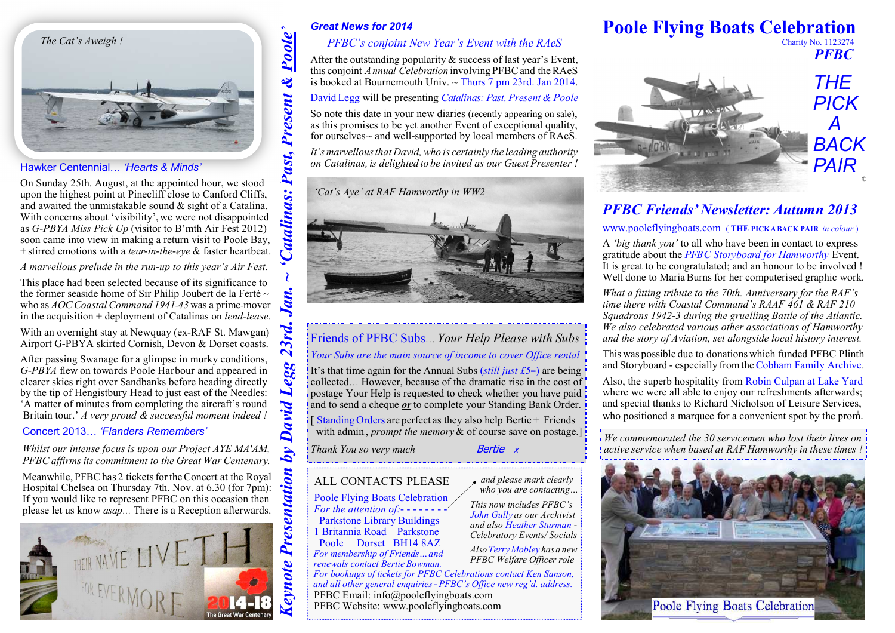

### Hawker Centennial… *'Hearts & Minds'*

On Sunday 25th. August, at the appointed hour, we stood upon the highest point at Pinecliff close to Canford Cliffs, and awaited the unmistakable sound & sight of a Catalina. With concerns about 'visibility', we were not disappointed as *G-PBYA Miss Pick Up* (visitor to B'mth Air Fest 2012) soon came into view in making a return visit to Poole Bay,+ stirred emotions with a *tear-in-the-eye* & faster heartbeat.

*A marvellous prelude in the run-up to this year's Air Fest.*

This place had been selected because of its significance to the former seaside home of Sir Philip Joubert de la Ferté  $\sim$  who as *AOCCoastalCommand <sup>1941</sup>-<sup>43</sup>* was <sup>a</sup> prime-mover in the acquisition + deployment of Catalinas on *lend-lease*.

With an overnight stay at Newquay (ex-RAF St. Mawgan)Airport G-PBYA skirted Cornish, Devon & Dorset coasts.

After passing Swanage for a glimpse in murky conditions, *G-PBYA* flew on towards Poole Harbour and appeared in clearer skies right over Sandbanks before heading directly by the tip of Hengistbury Head to just east of the Needles: 'A matter of minutes from completing the aircraft's round Britain tour.' *A very proud & successful moment indeed !*

Concert 2013… *'Flanders Remembers'*

*Whilst our intense focus is upon our Project AYE MA'AM,PFBC affirms its commitment to the Great War Centenary.*

Meanwhile, PFBC has 2 tickets for the Concert at the Royal Hospital Chelsea on Thursday 7th. Nov. at 6.30 (for 7pm): If you would like to represent PFBC on this occasion thenplease let us know *asap*… There is a Reception afterwards.



& success of last year's Event,<br>involving  $DEBC$  and the  $P\Delta A$ this conjoint *Annual Celebration* involving PFBCand theRAeSis booked at Bournemouth Univ. ~ Thurs 7 pm 23rd. Jan 2014.

David Legg will be presenting *Catalinas: Past, Present & Poole* 

So note this date in your new diaries (recently appearing on sale), as this promises to be yet another Event of exceptional quality,for ourselves~ and well-supported by local members of RAeS.

*It's marvellousthat David,who is certainly the leading authority on Catalinas, is delighted to be invited as our Guest Presenter !* 

*'Cat's Aye' at RAF Hamworthy in WW2* 



## Friends of PFBC Subs… *Your Help Please with Subs*

## *Your Subs are the main source of income to cover Office rental*

It's that time again for the Annual Subs (*still just £5*=) are being collected… However, because of the dramatic rise in the cost of postage Your Help is requested to check whether you have paidand to send a cheque *or* to complete your Standing Bank Order.

[Standing Orders are perfect as they also help Bertie + Friends with admin., *prompt the memory* & of course save on postage.]

*Thank You so very much* 

Bertie x

# **Poole Flying Boats Celebration**

 Charity No. 1123274 *PFBC* 



# *PFBC Friends' Newsletter: Autumn 2013*

www.pooleflyingboats.com ( **THE PICKABACK PAIR** *in colour* )

A *'big thank you'* to all who have been in contact to express gratitude about the *PFBC Storyboard for Hamworthy* Event. It is great to be congratulated; and an honour to be involved !Well done to MariaBurns for her computerised graphic work.

*What a fitting tribute to the 70th. Anniversary for the RAF's time there with Coastal Command's RAAF 461 & RAF 210 Squadrons 1942-3 during the gruelling Battle of the Atlantic. We also celebrated various other associations of Hamworthyand the story of Aviation, set alongside local history interest.* 

This was possible due to donations which funded PFBC Plinth and Storyboard - especially fromtheCobham Family Archive.

Also, the superb hospitality from Robin Culpan at Lake Yard where we were all able to enjoy our refreshments afterwards; and special thanks to Richard Nicholson of Leisure Services,who positioned a marquee for a convenient spot by the prom.

*We commemorated the 30 servicemen who lost their lives on active service when based at RAF Hamworthy in these times !*